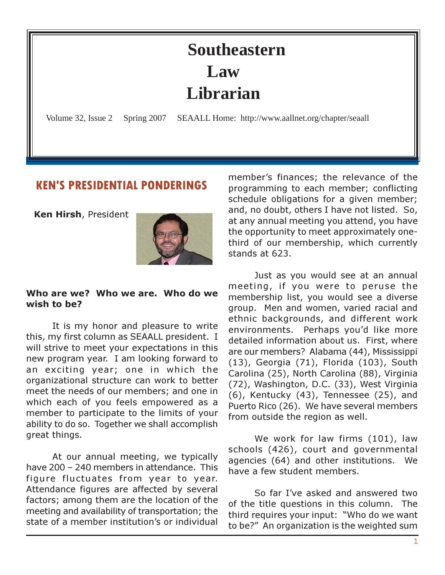# **Southeastern Law Librarian**

<span id="page-0-0"></span>Volume 32, Issue 2 Spring 2007 SEAALL Home: http://www.aallnet.org/chapter/seaall

#### KEN'S PRESIDENTIAL PONDERINGS

Ken Hirsh, President



#### Who are we? Who we are. Who do we wish to be?

It is my honor and pleasure to write this, my first column as SEAALL president. I will strive to meet your expectations in this new program year. I am looking forward to an exciting year; one in which the organizational structure can work to better meet the needs of our members; and one in which each of you feels empowered as a member to participate to the limits of your ability to do so. Together we shall accomplish great things.

At our annual meeting, we typically have 200 – 240 members in attendance. This figure fluctuates from year to year. Attendance figures are affected by several factors; among them are the location of the meeting and availability of transportation; the state of a member institution's or individual member's finances; the relevance of the programming to each member; conflicting schedule obligations for a given member; and, no doubt, others I have not listed. So, at any annual meeting you attend, you have the opportunity to meet approximately onethird of our membership, which currently stands at 623.

Just as you would see at an annual meeting, if you were to peruse the membership list, you would see a diverse group. Men and women, varied racial and ethnic backgrounds, and different work environments. Perhaps you'd like more detailed information about us. First, where are our members? Alabama (44), Mississippi (13), Georgia (71), Florida (103), South Carolina (25), North Carolina (88), Virginia (72), Washington, D.C. (33), West Virginia (6), Kentucky (43), Tennessee (25), and Puerto Rico (26). We have several members from outside the region as well.

We work for law firms (101), law schools (426), court and governmental agencies (64) and other institutions. We have a few student members.

So far I've asked and answered two of the title questions in this column. The third requires your input: "Who do we want to be?" An organization is the weighted sum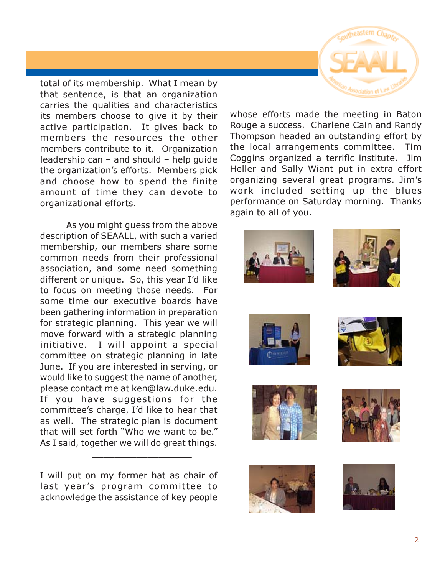total of its membership. What I mean by that sentence, is that an organization carries the qualities and characteristics its members choose to give it by their active participation. It gives back to members the resources the other members contribute to it. Organization leadership can – and should – help guide the organization's efforts. Members pick and choose how to spend the finite amount of time they can devote to organizational efforts.

As you might guess from the above description of SEAALL, with such a varied membership, our members share some common needs from their professional association, and some need something different or unique. So, this year I'd like to focus on meeting those needs. For some time our executive boards have been gathering information in preparation for strategic planning. This year we will move forward with a strategic planning initiative. I will appoint a special committee on strategic planning in late June. If you are interested in serving, or would like to suggest the name of another, please contact me at ken@law.duke.edu. If you have suggestions for the committee's charge, I'd like to hear that as well. The strategic plan is document that will set forth "Who we want to be." As I said, together we will do great things.

I will put on my former hat as chair of last year's program committee to acknowledge the assistance of key people

 $\_$  ,  $\_$  ,  $\_$  ,  $\_$  ,  $\_$  ,  $\_$  ,  $\_$  ,  $\_$  ,  $\_$  ,  $\_$  ,  $\_$ 

whose efforts made the meeting in Baton Rouge a success. Charlene Cain and Randy Thompson headed an outstanding effort by the local arrangements committee. Tim Coggins organized a terrific institute. Jim Heller and Sally Wiant put in extra effort organizing several great programs. Jim's work included setting up the blues performance on Saturday morning. Thanks again to all of you.















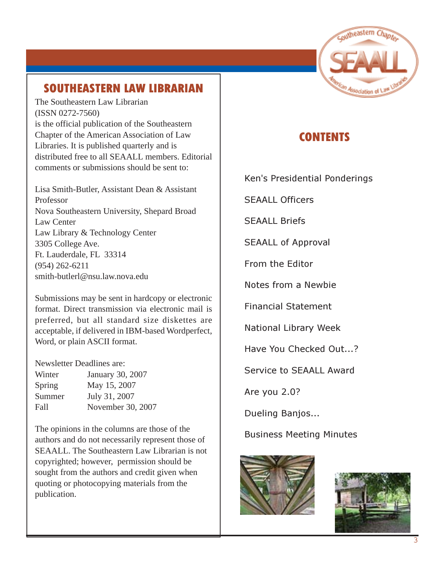

# SOUTHEASTERN LAW LIBRARIAN

The Southeastern Law Librarian (ISSN 0272-7560) is the official publication of the Southeastern Chapter of the American Association of Law Libraries. It is published quarterly and is distributed free to all SEAALL members. Editorial comments or submissions should be sent to:

Lisa Smith-Butler, Assistant Dean & Assistant Professor Nova Southeastern University, Shepard Broad Law Center Law Library & Technology Center 3305 College Ave. Ft. Lauderdale, FL 33314 [\(954\) 262-6211](mailto:melamut@email.unc.edu) smith-butlerl@nsu.law.nova.edu

Submissions may be sent in hardcopy or electronic format. Direct transmission via electronic mail is preferred, but all standard size diskettes are acceptable, if delivered in IBM-based Wordperfect, Word, or plain ASCII format.

#### Newsletter Deadlines are:

| Winter | January 30, 2007  |
|--------|-------------------|
| Spring | May 15, 2007      |
| Summer | July 31, 2007     |
| Fall   | November 30, 2007 |

The opinions in the columns are those of the authors and do not necessarily represent those of SEAALL. The Southeastern Law Librarian is not copyrighted; however, permission should be sought from the authors and credit given when quoting or photocopying materials from the publication.

# **CONTENTS**

[Ken's Presidential Ponderings](#page-0-0)

SEAALL Officers

SEAALL Briefs

SEAALL of Approval

From the Editor

Notes from a Newbie

Financial Statement

National Library Week

Have You Checked Out...?

Service to SEAALL Award

Are you 2.0?

Dueling Banjos...

Business Meeting Minutes



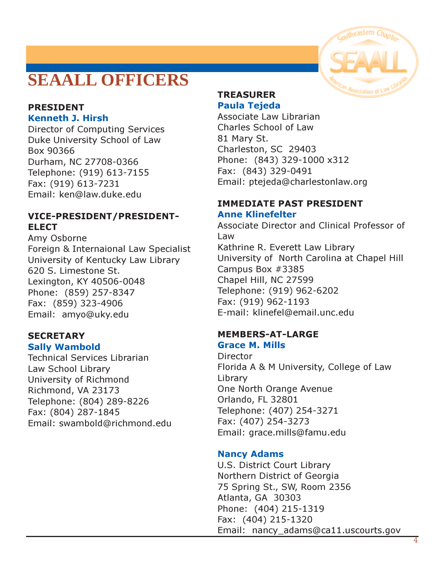# **SEAALL OFFICERS**

#### PRESIDENT Kenneth J. Hirsh

Director of Computing Services Duke University School of Law Box 90366 Durham, NC 27708-0366 Telephone: (919) 613-7155 Fax: (919) 613-7231 Email: [ken@law.duke.edu](mailto:ken@law.duke.edu)

#### VICE-PRESIDENT/PRESIDENT-**ELECT**

Amy Osborne Foreign & Internaional Law Specialist University of Kentucky Law Library 620 S. Limestone St. Lexington, KY 40506-0048 Phone: (859) 257-8347 Fax: (859) 323-4906 Email: amyo@uky.edu

# **SECRETARY**

#### Sally Wambold

Technical Services Librarian Law School Library University of Richmond Richmond, VA 23173 Telephone: (804) 289-8226 Fax: (804) 287-1845 [Email: swambold@richmond.edu](mailto:swambold@richmond.edu)

#### TREASURER Paula Tejeda

Associate Law Librarian Charles School of Law 81 Mary St. Charleston, SC 29403 Phone: (843) 329-1000 x312 Fax: (843) 329-0491 Email: ptejeda@charlestonlaw.org

#### IMMEDIATE PAST PRESIDENT Anne Klinefelter

Associate Director and Clinical Professor of Law Kathrine R. Everett Law Library University of North Carolina at Chapel Hill Campus Box #3385 Chapel Hill, NC 27599 Telephone: (919) 962-6202 Fax: (919) 962-1193 [E-mail: klinefel@email.unc.edu](mailto:klinefel@email.unc.edu)

#### MEMBERS-AT-LARGE Grace M. Mills

**Director** Florida A & M University, College of Law Library One North Orange Avenue Orlando, FL 32801 Telephone: (407) 254-3271 Fax: (407) 254-3273 Email: [grace.mills@famu.edu](mailto:grace.mills@famu.edu)

#### Nancy Adams

U.S. District Court Library Northern District of Georgia 75 Spring St., SW, Room 2356 Atlanta, GA 30303 Phone: (404) 215-1319 Fax: (404) 215-1320 Email: nancy\_adams@ca11.uscourts.gov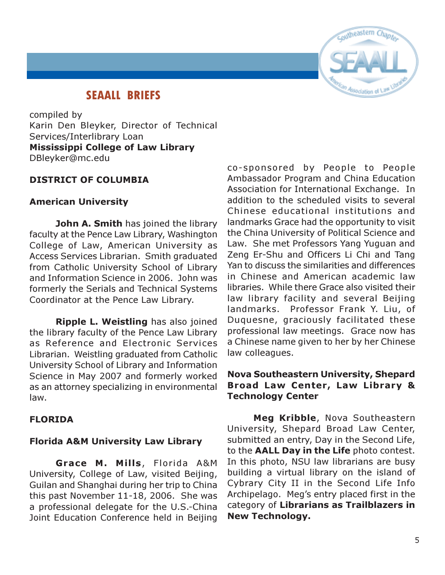

## SEAALL BRIEFS

compiled by Karin Den Bleyker, Director of Technical Services/Interlibrary Loan Mississippi College of Law Library DBleyker@mc.edu

#### DISTRICT OF COLUMBIA

#### American University

John A. Smith has joined the library faculty at the Pence Law Library, Washington College of Law, American University as Access Services Librarian. Smith graduated from Catholic University School of Library and Information Science in 2006. John was formerly the Serials and Technical Systems Coordinator at the Pence Law Library.

Ripple L. Weistling has also joined the library faculty of the Pence Law Library as Reference and Electronic Services Librarian. Weistling graduated from Catholic University School of Library and Information Science in May 2007 and formerly worked as an attorney specializing in environmental law.

#### FLORIDA

#### Florida A&M University Law Library

Grace M. Mills, Florida A&M University, College of Law, visited Beijing, Guilan and Shanghai during her trip to China this past November 11-18, 2006. She was a professional delegate for the U.S.-China Joint Education Conference held in Beijing

co-sponsored by People to People Ambassador Program and China Education Association for International Exchange. In addition to the scheduled visits to several Chinese educational institutions and landmarks Grace had the opportunity to visit the China University of Political Science and Law. She met Professors Yang Yuguan and Zeng Er-Shu and Officers Li Chi and Tang Yan to discuss the similarities and differences in Chinese and American academic law libraries. While there Grace also visited their law library facility and several Beijing landmarks. Professor Frank Y. Liu, of Duquesne, graciously facilitated these professional law meetings. Grace now has a Chinese name given to her by her Chinese law colleagues.

#### Nova Southeastern University, Shepard Broad Law Center, Law Library & Technology Center

Meg Kribble, Nova Southeastern University, Shepard Broad Law Center, submitted an entry, Day in the Second Life, to the AALL Day in the Life photo contest. In this photo, NSU law librarians are busy building a virtual library on the island of Cybrary City II in the Second Life Info Archipelago. Meg's entry placed first in the category of Librarians as Trailblazers in New Technology.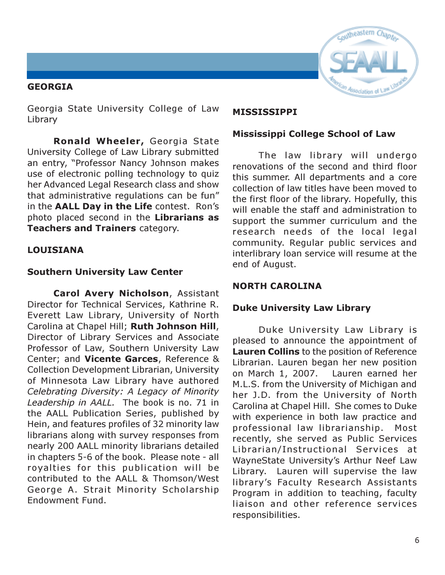#### GEORGIA



Georgia State University College of Law Library

Ronald Wheeler, Georgia State University College of Law Library submitted an entry, "Professor Nancy Johnson makes use of electronic polling technology to quiz her Advanced Legal Research class and show that administrative regulations can be fun" in the AALL Day in the Life contest. Ron's photo placed second in the Librarians as Teachers and Trainers category.

#### LOUISIANA

#### Southern University Law Center

Carol Avery Nicholson, Assistant Director for Technical Services, Kathrine R. Everett Law Library, University of North Carolina at Chapel Hill; Ruth Johnson Hill, Director of Library Services and Associate Professor of Law, Southern University Law Center; and Vicente Garces, Reference & Collection Development Librarian, University of Minnesota Law Library have authored Celebrating Diversity: A Legacy of Minority Leadership in AALL. The book is no. 71 in the AALL Publication Series, published by Hein, and features profiles of 32 minority law librarians along with survey responses from nearly 200 AALL minority librarians detailed in chapters 5-6 of the book. Please note - all royalties for this publication will be contributed to the AALL & Thomson/West George A. Strait Minority Scholarship Endowment Fund.

#### MISSISSIPPI

#### Mississippi College School of Law

The law library will undergo renovations of the second and third floor this summer. All departments and a core collection of law titles have been moved to the first floor of the library. Hopefully, this will enable the staff and administration to support the summer curriculum and the research needs of the local legal community. Regular public services and interlibrary loan service will resume at the end of August.

#### NORTH CAROLINA

#### Duke University Law Library

Duke University Law Library is pleased to announce the appointment of Lauren Collins to the position of Reference Librarian. Lauren began her new position on March 1, 2007. Lauren earned her M.L.S. from the University of Michigan and her J.D. from the University of North Carolina at Chapel Hill. She comes to Duke with experience in both law practice and professional law librarianship. Most recently, she served as Public Services Librarian/Instructional Services at WayneState University's Arthur Neef Law Library. Lauren will supervise the law library's Faculty Research Assistants Program in addition to teaching, faculty liaison and other reference services responsibilities.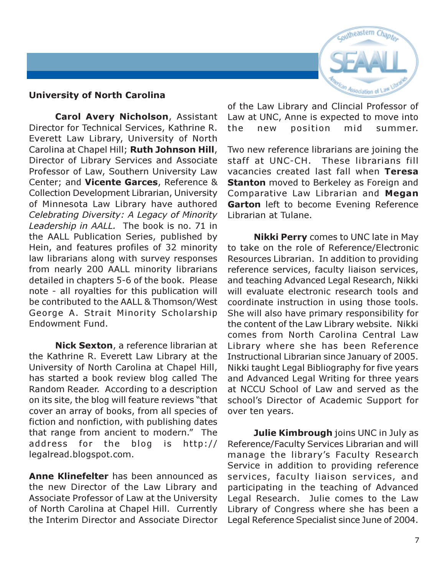

#### University of North Carolina

Carol Avery Nicholson, Assistant Director for Technical Services, Kathrine R. Everett Law Library, University of North Carolina at Chapel Hill; Ruth Johnson Hill, Director of Library Services and Associate Professor of Law, Southern University Law Center; and Vicente Garces, Reference & Collection Development Librarian, University of Minnesota Law Library have authored Celebrating Diversity: A Legacy of Minority Leadership in AALL. The book is no. 71 in the AALL Publication Series, published by Hein, and features profiles of 32 minority law librarians along with survey responses from nearly 200 AALL minority librarians detailed in chapters 5-6 of the book. Please note - all royalties for this publication will be contributed to the AALL & Thomson/West George A. Strait Minority Scholarship Endowment Fund.

Nick Sexton, a reference librarian at the Kathrine R. Everett Law Library at the University of North Carolina at Chapel Hill, has started a book review blog called The Random Reader. According to a description on its site, the blog will feature reviews "that cover an array of books, from all species of fiction and nonfiction, with publishing dates that range from ancient to modern." The address for the blog is http:// legalread.blogspot.com.

Anne Klinefelter has been announced as the new Director of the Law Library and Associate Professor of Law at the University of North Carolina at Chapel Hill. Currently the Interim Director and Associate Director

of the Law Library and Clincial Professor of Law at UNC, Anne is expected to move into the new position mid summer.

Two new reference librarians are joining the staff at UNC-CH. These librarians fill vacancies created last fall when Teresa **Stanton** moved to Berkeley as Foreign and Comparative Law Librarian and Megan Garton left to become Evening Reference Librarian at Tulane.

**Nikki Perry** comes to UNC late in May to take on the role of Reference/Electronic Resources Librarian. In addition to providing reference services, faculty liaison services, and teaching Advanced Legal Research, Nikki will evaluate electronic research tools and coordinate instruction in using those tools. She will also have primary responsibility for the content of the Law Library website. Nikki comes from North Carolina Central Law Library where she has been Reference Instructional Librarian since January of 2005. Nikki taught Legal Bibliography for five years and Advanced Legal Writing for three years at NCCU School of Law and served as the school's Director of Academic Support for over ten years.

Julie Kimbrough joins UNC in July as Reference/Faculty Services Librarian and will manage the library's Faculty Research Service in addition to providing reference services, faculty liaison services, and participating in the teaching of Advanced Legal Research. Julie comes to the Law Library of Congress where she has been a Legal Reference Specialist since June of 2004.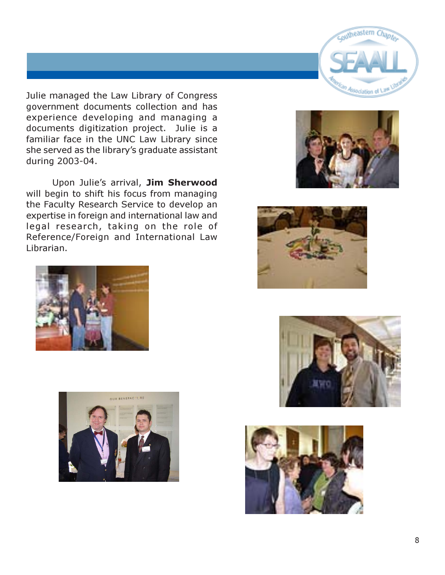Julie managed the Law Library of Congress government documents collection and has experience developing and managing a documents digitization project. Julie is a familiar face in the UNC Law Library since she served as the library's graduate assistant during 2003-04.

Upon Julie's arrival, Jim Sherwood will begin to shift his focus from managing the Faculty Research Service to develop an expertise in foreign and international law and legal research, taking on the role of Reference/Foreign and International Law Librarian.













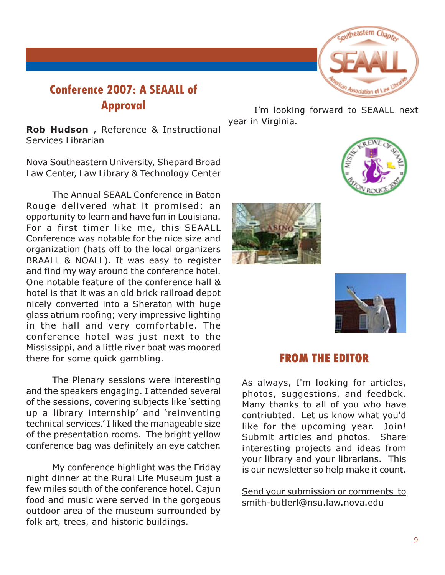# outheastern Chapter

# Conference 2007: A SEAALL of Approval

Rob Hudson , Reference & Instructional Services Librarian

Nova Southeastern University, Shepard Broad Law Center, Law Library & Technology Center

The Annual SEAAL Conference in Baton Rouge delivered what it promised: an opportunity to learn and have fun in Louisiana. For a first timer like me, this SEAALL Conference was notable for the nice size and organization (hats off to the local organizers BRAALL & NOALL). It was easy to register and find my way around the conference hotel. One notable feature of the conference hall & hotel is that it was an old brick railroad depot nicely converted into a Sheraton with huge glass atrium roofing; very impressive lighting in the hall and very comfortable. The conference hotel was just next to the Mississippi, and a little river boat was moored there for some quick gambling.

The Plenary sessions were interesting and the speakers engaging. I attended several of the sessions, covering subjects like 'setting up a library internship' and 'reinventing technical services.' I liked the manageable size of the presentation rooms. The bright yellow conference bag was definitely an eye catcher.

My conference highlight was the Friday night dinner at the Rural Life Museum just a few miles south of the conference hotel. Cajun food and music were served in the gorgeous outdoor area of the museum surrounded by folk art, trees, and historic buildings.

I'm looking forward to SEAALL next year in Virginia.



#### FROM THE EDITOR

As always, I'm looking for articles, photos, suggestions, and feedbck. Many thanks to all of you who have contriubted. Let us know what you'd like for the upcoming year. Join! Submit articles and photos. Share interesting projects and ideas from your library and your librarians. This is our newsletter so help make it count.

Send your submission or comments to [smith-butlerl@nsu.law.nova.edu](mailto:melamut@email.unc.edu)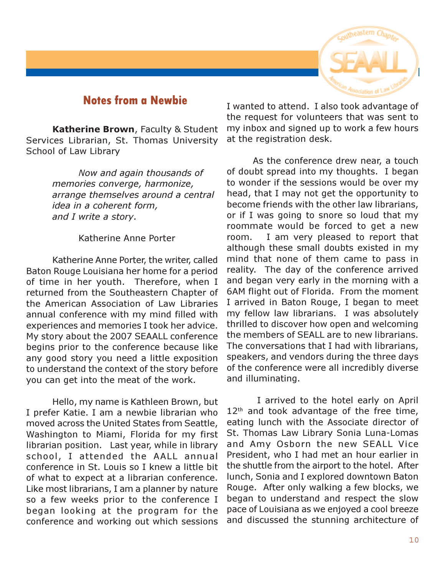## Notes from a Newbie

Katherine Brown, Faculty & Student Services Librarian, St. Thomas University School of Law Library

> Now and again thousands of memories converge, harmonize, arrange themselves around a central idea in a coherent form, and I write a story.

#### Katherine Anne Porter

Katherine Anne Porter, the writer, called Baton Rouge Louisiana her home for a period of time in her youth. Therefore, when I returned from the Southeastern Chapter of the American Association of Law Libraries annual conference with my mind filled with experiences and memories I took her advice. My story about the 2007 SEAALL conference begins prior to the conference because like any good story you need a little exposition to understand the context of the story before you can get into the meat of the work.

Hello, my name is Kathleen Brown, but I prefer Katie. I am a newbie librarian who moved across the United States from Seattle, Washington to Miami, Florida for my first librarian position. Last year, while in library school, I attended the AALL annual conference in St. Louis so I knew a little bit of what to expect at a librarian conference. Like most librarians, I am a planner by nature so a few weeks prior to the conference I began looking at the program for the conference and working out which sessions

I wanted to attend. I also took advantage of the request for volunteers that was sent to my inbox and signed up to work a few hours at the registration desk.

As the conference drew near, a touch of doubt spread into my thoughts. I began to wonder if the sessions would be over my head, that I may not get the opportunity to become friends with the other law librarians, or if I was going to snore so loud that my roommate would be forced to get a new room. I am very pleased to report that although these small doubts existed in my mind that none of them came to pass in reality. The day of the conference arrived and began very early in the morning with a 6AM flight out of Florida. From the moment I arrived in Baton Rouge, I began to meet my fellow law librarians. I was absolutely thrilled to discover how open and welcoming the members of SEALL are to new librarians. The conversations that I had with librarians, speakers, and vendors during the three days of the conference were all incredibly diverse and illuminating.

 I arrived to the hotel early on April  $12<sup>th</sup>$  and took advantage of the free time, eating lunch with the Associate director of St. Thomas Law Library Sonia Luna-Lomas and Amy Osborn the new SEALL Vice President, who I had met an hour earlier in the shuttle from the airport to the hotel. After lunch, Sonia and I explored downtown Baton Rouge. After only walking a few blocks, we began to understand and respect the slow pace of Louisiana as we enjoyed a cool breeze and discussed the stunning architecture of

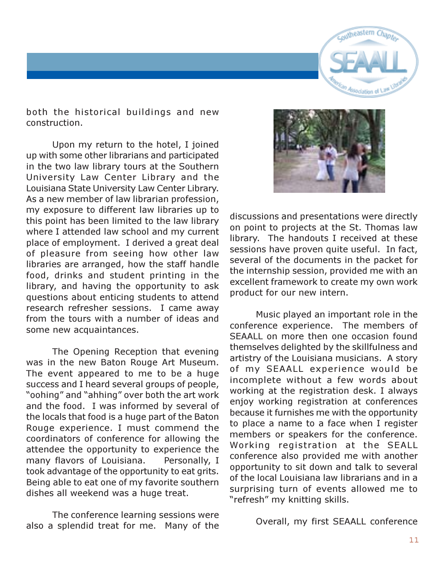

both the historical buildings and new construction.

Upon my return to the hotel, I joined up with some other librarians and participated in the two law library tours at the Southern University Law Center Library and the Louisiana State University Law Center Library. As a new member of law librarian profession, my exposure to different law libraries up to this point has been limited to the law library where I attended law school and my current place of employment. I derived a great deal of pleasure from seeing how other law libraries are arranged, how the staff handle food, drinks and student printing in the library, and having the opportunity to ask questions about enticing students to attend research refresher sessions. I came away from the tours with a number of ideas and some new acquaintances.

The Opening Reception that evening was in the new Baton Rouge Art Museum. The event appeared to me to be a huge success and I heard several groups of people, "oohing" and "ahhing" over both the art work and the food. I was informed by several of the locals that food is a huge part of the Baton Rouge experience. I must commend the coordinators of conference for allowing the attendee the opportunity to experience the many flavors of Louisiana. Personally, I took advantage of the opportunity to eat grits. Being able to eat one of my favorite southern dishes all weekend was a huge treat.

The conference learning sessions were also a splendid treat for me. Many of the



discussions and presentations were directly on point to projects at the St. Thomas law library. The handouts I received at these sessions have proven quite useful. In fact, several of the documents in the packet for the internship session, provided me with an excellent framework to create my own work product for our new intern.

Music played an important role in the conference experience. The members of SEAALL on more then one occasion found themselves delighted by the skillfulness and artistry of the Louisiana musicians. A story of my SEAALL experience would be incomplete without a few words about working at the registration desk. I always enjoy working registration at conferences because it furnishes me with the opportunity to place a name to a face when I register members or speakers for the conference. Working registration at the SEALL conference also provided me with another opportunity to sit down and talk to several of the local Louisiana law librarians and in a surprising turn of events allowed me to "refresh" my knitting skills.

Overall, my first SEAALL conference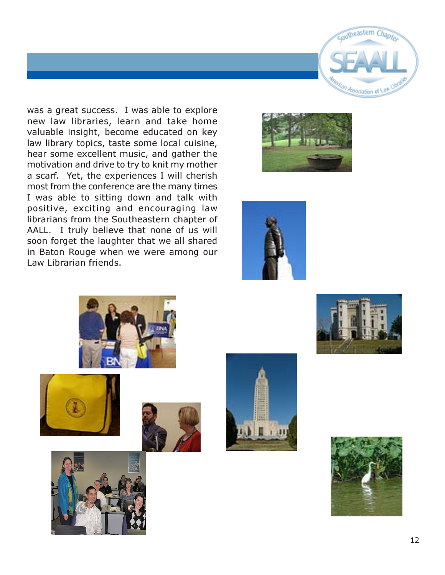

was a great success. I was able to explore new law libraries, learn and take home valuable insight, become educated on key law library topics, taste some local cuisine, hear some excellent music, and gather the motivation and drive to try to knit my mother a scarf. Yet, the experiences I will cherish most from the conference are the many times I was able to sitting down and talk with positive, exciting and encouraging law librarians from the Southeastern chapter of AALL. I truly believe that none of us will soon forget the laughter that we all shared in Baton Rouge when we were among our Law Librarian friends.















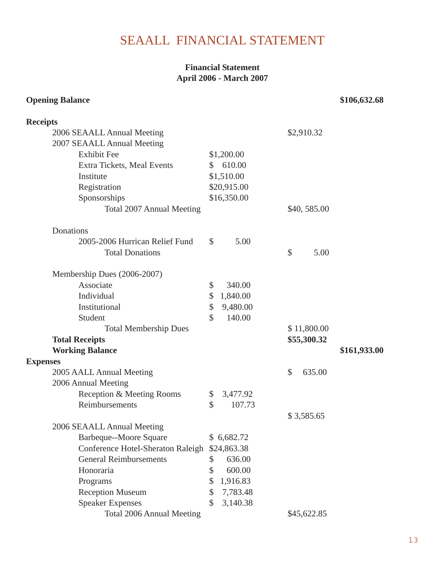# SEAALL FINANCIAL STATEMENT

#### **Financial Statement April 2006 - March 2007**

#### **Opening Balance** \$106,632.68

| <b>Receipts</b>                               |                          |                       |              |
|-----------------------------------------------|--------------------------|-----------------------|--------------|
| 2006 SEAALL Annual Meeting                    |                          | \$2,910.32            |              |
| 2007 SEAALL Annual Meeting                    |                          |                       |              |
| <b>Exhibit Fee</b>                            | \$1,200.00               |                       |              |
| Extra Tickets, Meal Events                    | 610.00<br>$\mathbb{S}^-$ |                       |              |
| Institute                                     | \$1,510.00               |                       |              |
| Registration                                  | \$20,915.00              |                       |              |
| Sponsorships                                  | \$16,350.00              |                       |              |
| Total 2007 Annual Meeting                     |                          | \$40,585.00           |              |
| Donations                                     |                          |                       |              |
| 2005-2006 Hurrican Relief Fund                | \$<br>5.00               |                       |              |
| <b>Total Donations</b>                        |                          | $\mathcal{S}$<br>5.00 |              |
| Membership Dues (2006-2007)                   |                          |                       |              |
| Associate                                     | \$<br>340.00             |                       |              |
| Individual                                    | \$<br>1,840.00           |                       |              |
| Institutional                                 | \$<br>9,480.00           |                       |              |
| Student                                       | \$<br>140.00             |                       |              |
| <b>Total Membership Dues</b>                  |                          | \$11,800.00           |              |
| <b>Total Receipts</b>                         |                          | \$55,300.32           |              |
| <b>Working Balance</b>                        |                          |                       | \$161,933.00 |
| <b>Expenses</b>                               |                          |                       |              |
| 2005 AALL Annual Meeting                      |                          | \$<br>635.00          |              |
| 2006 Annual Meeting                           |                          |                       |              |
| Reception & Meeting Rooms                     | \$<br>3,477.92           |                       |              |
| Reimbursements                                | $\mathbb{S}$<br>107.73   |                       |              |
|                                               |                          | \$3,585.65            |              |
| 2006 SEAALL Annual Meeting                    |                          |                       |              |
| Barbeque--Moore Square                        | \$6,682.72               |                       |              |
| Conference Hotel-Sheraton Raleigh \$24,863.38 |                          |                       |              |
| <b>General Reimbursements</b>                 | 636.00<br>\$             |                       |              |
| Honoraria                                     | \$<br>600.00             |                       |              |
| Programs                                      | \$<br>1,916.83           |                       |              |
| <b>Reception Museum</b>                       | \$<br>7,783.48           |                       |              |
| <b>Speaker Expenses</b>                       | $\mathbb{S}$<br>3,140.38 |                       |              |
| Total 2006 Annual Meeting                     |                          | \$45,622.85           |              |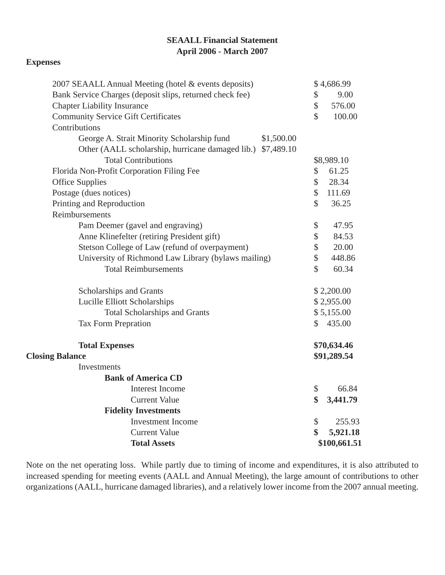#### **SEAALL Financial Statement April 2006 - March 2007**

#### **Expenses**

| 2007 SEAALL Annual Meeting (hotel & events deposits)        |                     | \$4,686.99   |  |
|-------------------------------------------------------------|---------------------|--------------|--|
| Bank Service Charges (deposit slips, returned check fee)    | \$                  | 9.00         |  |
| <b>Chapter Liability Insurance</b>                          | \$                  | 576.00       |  |
| <b>Community Service Gift Certificates</b>                  | $\hat{\mathcal{S}}$ | 100.00       |  |
| Contributions                                               |                     |              |  |
| George A. Strait Minority Scholarship fund<br>\$1,500.00    |                     |              |  |
| Other (AALL scholarship, hurricane damaged lib.) \$7,489.10 |                     |              |  |
| <b>Total Contributions</b>                                  |                     | \$8,989.10   |  |
| Florida Non-Profit Corporation Filing Fee                   | \$                  | 61.25        |  |
| <b>Office Supplies</b>                                      | \$                  | 28.34        |  |
| Postage (dues notices)                                      | \$                  | 111.69       |  |
| Printing and Reproduction                                   | \$                  | 36.25        |  |
| Reimbursements                                              |                     |              |  |
| Pam Deemer (gavel and engraving)                            | \$                  | 47.95        |  |
| Anne Klinefelter (retiring President gift)                  | \$                  | 84.53        |  |
| Stetson College of Law (refund of overpayment)              | \$                  | 20.00        |  |
| University of Richmond Law Library (bylaws mailing)         | \$                  | 448.86       |  |
| <b>Total Reimbursements</b>                                 | $\hat{\mathcal{S}}$ | 60.34        |  |
| Scholarships and Grants                                     |                     | \$2,200.00   |  |
| Lucille Elliott Scholarships                                |                     | \$2,955.00   |  |
| <b>Total Scholarships and Grants</b>                        |                     | \$5,155.00   |  |
| <b>Tax Form Prepration</b>                                  | $\mathbb{S}$        | 435.00       |  |
| <b>Total Expenses</b>                                       |                     | \$70,634.46  |  |
| <b>Closing Balance</b>                                      |                     | \$91,289.54  |  |
| Investments                                                 |                     |              |  |
| <b>Bank of America CD</b>                                   |                     |              |  |
| Interest Income                                             | \$                  | 66.84        |  |
| <b>Current Value</b>                                        | \$                  | 3,441.79     |  |
| <b>Fidelity Investments</b>                                 |                     |              |  |
| <b>Investment Income</b>                                    | \$                  | 255.93       |  |
| <b>Current Value</b>                                        | \$                  | 5,921.18     |  |
| <b>Total Assets</b>                                         |                     | \$100,661.51 |  |

Note on the net operating loss. While partly due to timing of income and expenditures, it is also attributed to increased spending for meeting events (AALL and Annual Meeting), the large amount of contributions to other organizations (AALL, hurricane damaged libraries), and a relatively lower income from the 2007 annual meeting.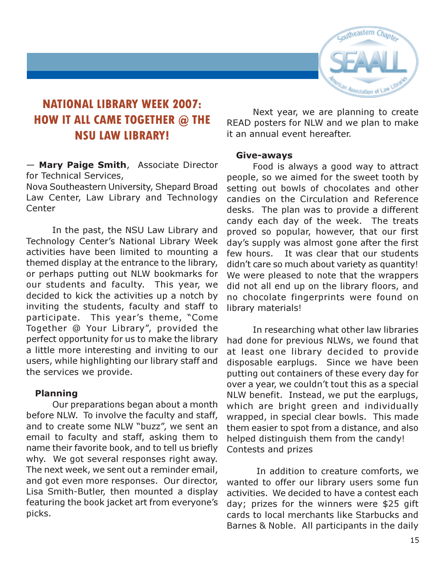

# NATIONAL LIBRARY WEEK 2007: HOW IT ALL CAME TOGETHER @ THE NSU LAW LIBRARY!

— Mary Paige Smith, Associate Director for Technical Services,

Nova Southeastern University, Shepard Broad Law Center, Law Library and Technology **Center** 

In the past, the NSU Law Library and Technology Center's National Library Week activities have been limited to mounting a themed display at the entrance to the library, or perhaps putting out NLW bookmarks for our students and faculty. This year, we decided to kick the activities up a notch by inviting the students, faculty and staff to participate. This year's theme, "Come Together @ Your Library", provided the perfect opportunity for us to make the library a little more interesting and inviting to our users, while highlighting our library staff and the services we provide.

#### Planning

Our preparations began about a month before NLW. To involve the faculty and staff, and to create some NLW "buzz", we sent an email to faculty and staff, asking them to name their favorite book, and to tell us briefly why. We got several responses right away. The next week, we sent out a reminder email, and got even more responses. Our director, Lisa Smith-Butler, then mounted a display featuring the book jacket art from everyone's picks.

Next year, we are planning to create READ posters for NLW and we plan to make it an annual event hereafter.

#### Give-aways

Food is always a good way to attract people, so we aimed for the sweet tooth by setting out bowls of chocolates and other candies on the Circulation and Reference desks. The plan was to provide a different candy each day of the week. The treats proved so popular, however, that our first day's supply was almost gone after the first few hours. It was clear that our students didn't care so much about variety as quantity! We were pleased to note that the wrappers did not all end up on the library floors, and no chocolate fingerprints were found on library materials!

In researching what other law libraries had done for previous NLWs, we found that at least one library decided to provide disposable earplugs. Since we have been putting out containers of these every day for over a year, we couldn't tout this as a special NLW benefit. Instead, we put the earplugs, which are bright green and individually wrapped, in special clear bowls. This made them easier to spot from a distance, and also helped distinguish them from the candy! Contests and prizes

 In addition to creature comforts, we wanted to offer our library users some fun activities. We decided to have a contest each day; prizes for the winners were \$25 gift cards to local merchants like Starbucks and Barnes & Noble. All participants in the daily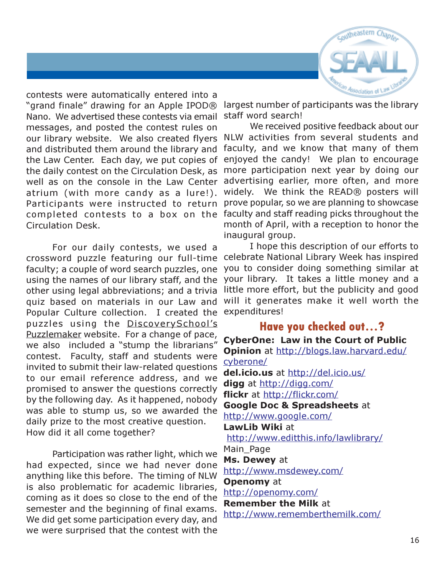

contests were automatically entered into a "grand finale" drawing for an Apple IPOD® Nano. We advertised these contests via email messages, and posted the contest rules on our library website. We also created flyers Circulation Desk.

For our daily contests, we used a other using legal abbreviations; and a trivia quiz based on materials in our Law and Popular Culture collection. I created the expenditures! puzzles using the DiscoverySchool's Puzzlemaker website. For a change of pace, we also included a "stump the librarians" contest. Faculty, staff and students were invited to submit their law-related questions to our email reference address, and we promised to answer the questions correctly by the following day. As it happened, nobody was able to stump us, so we awarded the daily prize to the most creative question. How did it all come together?

Participation was rather light, which we had expected, since we had never done anything like this before. The timing of NLW is also problematic for academic libraries, coming as it does so close to the end of the semester and the beginning of final exams. We did get some participation every day, and we were surprised that the contest with the

largest number of participants was the library staff word search!

and distributed them around the library and faculty, and we know that many of them the Law Center. Each day, we put copies of enjoyed the candy! We plan to encourage the daily contest on the Circulation Desk, as more participation next year by doing our well as on the console in the Law Center advertising earlier, more often, and more atrium (with more candy as a lure!). widely. We think the READ® posters will Participants were instructed to return prove popular, so we are planning to showcase completed contests to a box on the faculty and staff reading picks throughout the We received positive feedback about our NLW activities from several students and month of April, with a reception to honor the inaugural group.

crossword puzzle featuring our full-time celebrate National Library Week has inspired faculty; a couple of word search puzzles, one you to consider doing something similar at using the names of our library staff, and the your library. It takes a little money and a I hope this description of our efforts to little more effort, but the publicity and good will it generates make it well worth the

# Have you checked out…?

CyberOne: Law in the Court of Public Opinion at http://blogs.law.harvard.edu/ cyberone/ del.icio.us at http://del.icio.us/ digg at http://digg.com/ flickr at http://flickr.com/ Google Doc & Spreadsheets at http://www.google.com/ LawLib Wiki at http://www.editthis.info/lawlibrary/ Main Page Ms. Dewey at http://www.msdewey.com/ **Openomy** at http://openomy.com/ Remember the Milk at http://www.rememberthemilk.com/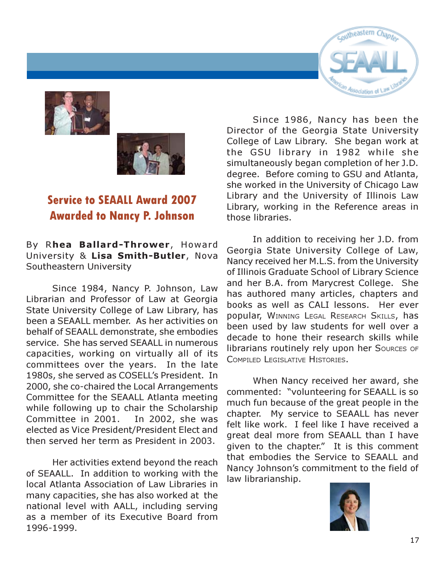



# Service to SEAALL Award 2007 Awarded to Nancy P. Johnson

By Rhea Ballard-Thrower, Howard University & Lisa Smith-Butler, Nova Southeastern University

Since 1984, Nancy P. Johnson, Law Librarian and Professor of Law at Georgia State University College of Law Library, has been a SEAALL member. As her activities on behalf of SEAALL demonstrate, she embodies service. She has served SEAALL in numerous capacities, working on virtually all of its committees over the years. In the late 1980s, she served as COSELL's President. In 2000, she co-chaired the Local Arrangements Committee for the SEAALL Atlanta meeting while following up to chair the Scholarship Committee in 2001. In 2002, she was elected as Vice President/President Elect and then served her term as President in 2003.

Her activities extend beyond the reach of SEAALL. In addition to working with the local Atlanta Association of Law Libraries in many capacities, she has also worked at the national level with AALL, including serving as a member of its Executive Board from 1996-1999.



Since 1986, Nancy has been the Director of the Georgia State University College of Law Library. She began work at the GSU library in 1982 while she simultaneously began completion of her J.D. degree. Before coming to GSU and Atlanta, she worked in the University of Chicago Law Library and the University of Illinois Law Library, working in the Reference areas in those libraries.

In addition to receiving her J.D. from Georgia State University College of Law, Nancy received her M.L.S. from the University of Illinois Graduate School of Library Science and her B.A. from Marycrest College. She has authored many articles, chapters and books as well as CALI lessons. Her ever popular, WINNING LEGAL RESEARCH SKILLS, has been used by law students for well over a decade to hone their research skills while librarians routinely rely upon her Sources of COMPILED LEGISLATIVE HISTORIES.

When Nancy received her award, she commented: "volunteering for SEAALL is so much fun because of the great people in the chapter. My service to SEAALL has never felt like work. I feel like I have received a great deal more from SEAALL than I have given to the chapter." It is this comment that embodies the Service to SEAALL and Nancy Johnson's commitment to the field of law librarianship.

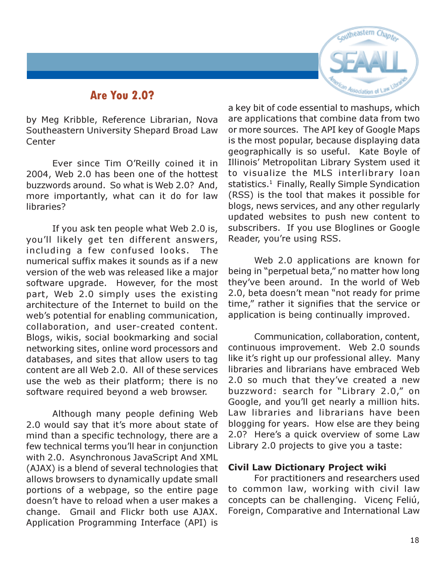### Are You 2.0?



by Meg Kribble, Reference Librarian, Nova Southeastern University Shepard Broad Law **Center** 

Ever since Tim O'Reilly coined it in 2004, Web 2.0 has been one of the hottest buzzwords around. So what is Web 2.0? And, more importantly, what can it do for law libraries?

If you ask ten people what Web 2.0 is, you'll likely get ten different answers, including a few confused looks. The numerical suffix makes it sounds as if a new version of the web was released like a major software upgrade. However, for the most part, Web 2.0 simply uses the existing architecture of the Internet to build on the web's potential for enabling communication, collaboration, and user-created content. Blogs, wikis, social bookmarking and social networking sites, online word processors and databases, and sites that allow users to tag content are all Web 2.0. All of these services use the web as their platform; there is no software required beyond a web browser.

Although many people defining Web 2.0 would say that it's more about state of mind than a specific technology, there are a few technical terms you'll hear in conjunction with 2.0. Asynchronous JavaScript And XML (AJAX) is a blend of several technologies that allows browsers to dynamically update small portions of a webpage, so the entire page doesn't have to reload when a user makes a change. Gmail and Flickr both use AJAX. Application Programming Interface (API) is

a key bit of code essential to mashups, which are applications that combine data from two or more sources. The API key of Google Maps is the most popular, because displaying data geographically is so useful. Kate Boyle of Illinois' Metropolitan Library System used it to visualize the MLS interlibrary loan statistics.<sup>1</sup> Finally, Really Simple Syndication (RSS) is the tool that makes it possible for blogs, news services, and any other regularly updated websites to push new content to subscribers. If you use Bloglines or Google Reader, you're using RSS.

Web 2.0 applications are known for being in "perpetual beta," no matter how long they've been around. In the world of Web 2.0, beta doesn't mean "not ready for prime time," rather it signifies that the service or application is being continually improved.

Communication, collaboration, content, continuous improvement. Web 2.0 sounds like it's right up our professional alley. Many libraries and librarians have embraced Web 2.0 so much that they've created a new buzzword: search for "Library 2.0," on Google, and you'll get nearly a million hits. Law libraries and librarians have been blogging for years. How else are they being 2.0? Here's a quick overview of some Law Library 2.0 projects to give you a taste:

#### Civil Law Dictionary Project wiki

For practitioners and researchers used to common law, working with civil law concepts can be challenging. Vicenç Feliú, Foreign, Comparative and International Law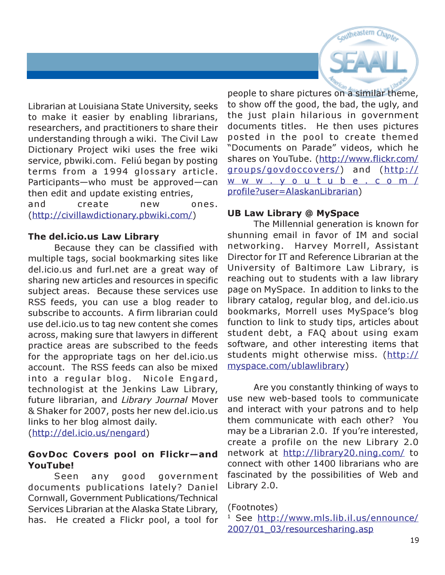

Librarian at Louisiana State University, seeks to make it easier by enabling librarians, researchers, and practitioners to share their understanding through a wiki. The Civil Law Dictionary Project wiki uses the free wiki service, pbwiki.com. Feliú began by posting terms from a 1994 glossary article. Participants—who must be approved—can then edit and update existing entries, and create new ones. (http://civillawdictionary.pbwiki.com/)

#### The del.icio.us Law Library

Because they can be classified with multiple tags, social bookmarking sites like del.icio.us and furl.net are a great way of sharing new articles and resources in specific subject areas. Because these services use RSS feeds, you can use a blog reader to subscribe to accounts. A firm librarian could use del.icio.us to tag new content she comes across, making sure that lawyers in different practice areas are subscribed to the feeds for the appropriate tags on her del.icio.us account. The RSS feeds can also be mixed into a regular blog. Nicole Engard, technologist at the Jenkins Law Library, future librarian, and Library Journal Mover & Shaker for 2007, posts her new del.icio.us links to her blog almost daily. (http://del.icio.us/nengard)

#### GovDoc Covers pool on Flickr—and YouTube!

Seen any good government documents publications lately? Daniel Cornwall, Government Publications/Technical Services Librarian at the Alaska State Library, has. He created a Flickr pool, a tool for people to share pictures on a similar theme, to show off the good, the bad, the ugly, and the just plain hilarious in government documents titles. He then uses pictures posted in the pool to create themed "Documents on Parade" videos, which he shares on YouTube. (http://www.flickr.com/ groups/govdoccovers/) and (http:// www . y outube.com/ profile?user=AlaskanLibrarian)

#### UB Law Library @ MySpace

The Millennial generation is known for shunning email in favor of IM and social networking. Harvey Morrell, Assistant Director for IT and Reference Librarian at the University of Baltimore Law Library, is reaching out to students with a law library page on MySpace. In addition to links to the library catalog, regular blog, and del.icio.us bookmarks, Morrell uses MySpace's blog function to link to study tips, articles about student debt, a FAQ about using exam software, and other interesting items that students might otherwise miss. (http:// myspace.com/ublawlibrary)

Are you constantly thinking of ways to use new web-based tools to communicate and interact with your patrons and to help them communicate with each other? You may be a Librarian 2.0. If you're interested, create a profile on the new Library 2.0 network at http://library20.ning.com/ to connect with other 1400 librarians who are fascinated by the possibilities of Web and Library 2.0.

(Footnotes)

<sup>&</sup>lt;sup>1</sup> See http://www.mls.lib.il.us/ennounce/ 2007/01\_03/resourcesharing.asp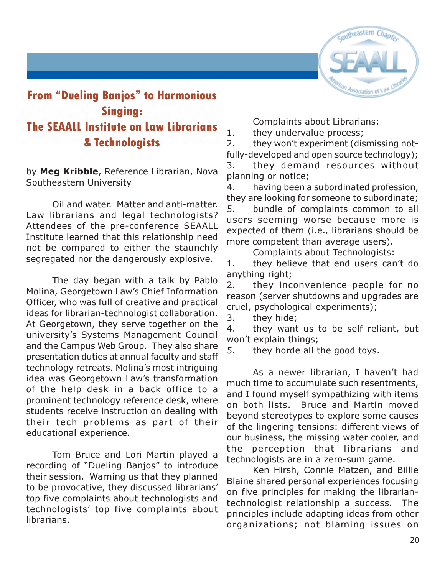

# From "Dueling Banjos" to Harmonious Singing: The SEAALL Institute on Law Librarians & Technologists

by Meg Kribble, Reference Librarian, Nova Southeastern University

Oil and water. Matter and anti-matter. Law librarians and legal technologists? Attendees of the pre-conference SEAALL Institute learned that this relationship need not be compared to either the staunchly segregated nor the dangerously explosive.

The day began with a talk by Pablo Molina, Georgetown Law's Chief Information Officer, who was full of creative and practical ideas for librarian-technologist collaboration. At Georgetown, they serve together on the university's Systems Management Council and the Campus Web Group. They also share presentation duties at annual faculty and staff technology retreats. Molina's most intriguing idea was Georgetown Law's transformation of the help desk in a back office to a prominent technology reference desk, where students receive instruction on dealing with their tech problems as part of their educational experience.

Tom Bruce and Lori Martin played a recording of "Dueling Banjos" to introduce their session. Warning us that they planned to be provocative, they discussed librarians' top five complaints about technologists and technologists' top five complaints about librarians.

Complaints about Librarians:

1. they undervalue process;

2. they won't experiment (dismissing notfully-developed and open source technology); 3. they demand resources without planning or notice;

4. having been a subordinated profession, they are looking for someone to subordinate;

5. bundle of complaints common to all users seeming worse because more is expected of them (i.e., librarians should be more competent than average users).

Complaints about Technologists:

1. they believe that end users can't do anything right;

2. they inconvenience people for no reason (server shutdowns and upgrades are cruel, psychological experiments);

3. they hide;

4. they want us to be self reliant, but won't explain things;

5. they horde all the good toys.

As a newer librarian, I haven't had much time to accumulate such resentments, and I found myself sympathizing with items on both lists. Bruce and Martin moved beyond stereotypes to explore some causes of the lingering tensions: different views of our business, the missing water cooler, and the perception that librarians and technologists are in a zero-sum game.

Ken Hirsh, Connie Matzen, and Billie Blaine shared personal experiences focusing on five principles for making the librariantechnologist relationship a success. The principles include adapting ideas from other organizations; not blaming issues on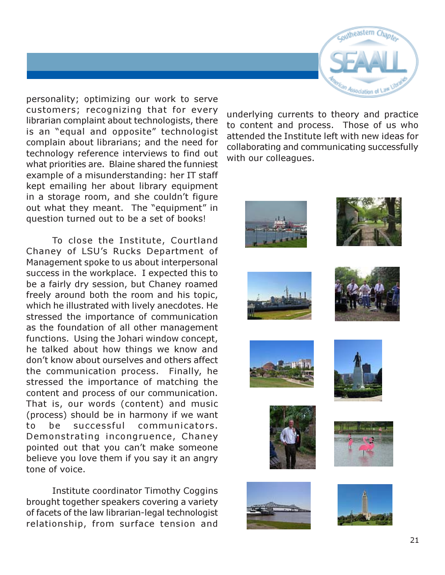

personality; optimizing our work to serve customers; recognizing that for every librarian complaint about technologists, there is an "equal and opposite" technologist complain about librarians; and the need for technology reference interviews to find out what priorities are. Blaine shared the funniest example of a misunderstanding: her IT staff kept emailing her about library equipment in a storage room, and she couldn't figure out what they meant. The "equipment" in question turned out to be a set of books!

To close the Institute, Courtland Chaney of LSU's Rucks Department of Management spoke to us about interpersonal success in the workplace. I expected this to be a fairly dry session, but Chaney roamed freely around both the room and his topic, which he illustrated with lively anecdotes. He stressed the importance of communication as the foundation of all other management functions. Using the Johari window concept, he talked about how things we know and don't know about ourselves and others affect the communication process. Finally, he stressed the importance of matching the content and process of our communication. That is, our words (content) and music (process) should be in harmony if we want to be successful communicators. Demonstrating incongruence, Chaney pointed out that you can't make someone believe you love them if you say it an angry tone of voice.

Institute coordinator Timothy Coggins brought together speakers covering a variety of facets of the law librarian-legal technologist relationship, from surface tension and

underlying currents to theory and practice to content and process. Those of us who attended the Institute left with new ideas for collaborating and communicating successfully with our colleagues.



















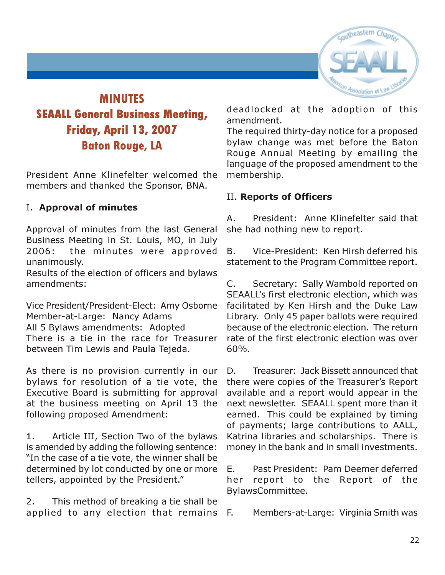

# MINUTES SEAALL General Business Meeting, Friday, April 13, 2007 Baton Rouge, LA

President Anne Klinefelter welcomed the members and thanked the Sponsor, BNA.

#### I. Approval of minutes

Approval of minutes from the last General Business Meeting in St. Louis, MO, in July 2006: the minutes were approved unanimously.

Results of the election of officers and bylaws amendments:

Vice President/President-Elect: Amy Osborne Member-at-Large: Nancy Adams All 5 Bylaws amendments: Adopted There is a tie in the race for Treasurer between Tim Lewis and Paula Tejeda.

As there is no provision currently in our bylaws for resolution of a tie vote, the Executive Board is submitting for approval at the business meeting on April 13 the following proposed Amendment:

1. Article III, Section Two of the bylaws is amended by adding the following sentence: "In the case of a tie vote, the winner shall be determined by lot conducted by one or more tellers, appointed by the President."

2. This method of breaking a tie shall be applied to any election that remains F.

deadlocked at the adoption of this amendment.

The required thirty-day notice for a proposed bylaw change was met before the Baton Rouge Annual Meeting by emailing the language of the proposed amendment to the membership.

#### II. Reports of Officers

A. President: Anne Klinefelter said that she had nothing new to report.

B. Vice-President: Ken Hirsh deferred his statement to the Program Committee report.

C. Secretary: Sally Wambold reported on SEAALL's first electronic election, which was facilitated by Ken Hirsh and the Duke Law Library. Only 45 paper ballots were required because of the electronic election. The return rate of the first electronic election was over 60%.

D. Treasurer: Jack Bissett announced that there were copies of the Treasurer's Report available and a report would appear in the next newsletter. SEAALL spent more than it earned. This could be explained by timing of payments; large contributions to AALL, Katrina libraries and scholarships. There is money in the bank and in small investments.

E. Past President: Pam Deemer deferred her report to the Report of the BylawsCommittee.

Members-at-Large: Virginia Smith was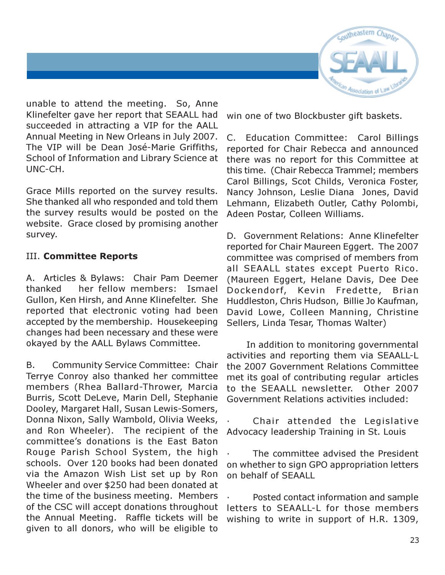

unable to attend the meeting. So, Anne Klinefelter gave her report that SEAALL had succeeded in attracting a VIP for the AALL Annual Meeting in New Orleans in July 2007. The VIP will be Dean José-Marie Griffiths, School of Information and Library Science at UNC-CH.

Grace Mills reported on the survey results. She thanked all who responded and told them the survey results would be posted on the website. Grace closed by promising another survey.

#### III. Committee Reports

A. Articles & Bylaws: Chair Pam Deemer thanked her fellow members: Ismael Gullon, Ken Hirsh, and Anne Klinefelter. She reported that electronic voting had been accepted by the membership. Housekeeping changes had been necessary and these were okayed by the AALL Bylaws Committee.

B. Community Service Committee: Chair Terrye Conroy also thanked her committee members (Rhea Ballard-Thrower, Marcia Burris, Scott DeLeve, Marin Dell, Stephanie Dooley, Margaret Hall, Susan Lewis-Somers, Donna Nixon, Sally Wambold, Olivia Weeks, and Ron Wheeler). The recipient of the committee's donations is the East Baton Rouge Parish School System, the high schools. Over 120 books had been donated via the Amazon Wish List set up by Ron Wheeler and over \$250 had been donated at the time of the business meeting. Members of the CSC will accept donations throughout the Annual Meeting. Raffle tickets will be given to all donors, who will be eligible to

win one of two Blockbuster gift baskets.

C. Education Committee: Carol Billings reported for Chair Rebecca and announced there was no report for this Committee at this time. (Chair Rebecca Trammel; members Carol Billings, Scot Childs, Veronica Foster, Nancy Johnson, Leslie Diana Jones, David Lehmann, Elizabeth Outler, Cathy Polombi, Adeen Postar, Colleen Williams.

D. Government Relations: Anne Klinefelter reported for Chair Maureen Eggert. The 2007 committee was comprised of members from all SEAALL states except Puerto Rico. (Maureen Eggert, Helane Davis, Dee Dee Dockendorf, Kevin Fredette, Brian Huddleston, Chris Hudson, Billie Jo Kaufman, David Lowe, Colleen Manning, Christine Sellers, Linda Tesar, Thomas Walter)

 In addition to monitoring governmental activities and reporting them via SEAALL-L the 2007 Government Relations Committee met its goal of contributing regular articles to the SEAALL newsletter. Other 2007 Government Relations activities included:

Chair attended the Legislative Advocacy leadership Training in St. Louis

The committee advised the President on whether to sign GPO appropriation letters on behalf of SEAALL

Posted contact information and sample letters to SEAALL-L for those members wishing to write in support of H.R. 1309,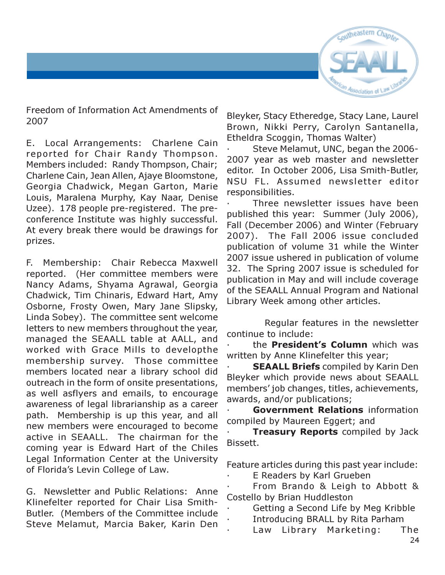

Freedom of Information Act Amendments of 2007

E. Local Arrangements: Charlene Cain reported for Chair Randy Thompson. Members included: Randy Thompson, Chair; Charlene Cain, Jean Allen, Ajaye Bloomstone, Georgia Chadwick, Megan Garton, Marie Louis, Maralena Murphy, Kay Naar, Denise Uzee). 178 people pre-registered. The preconference Institute was highly successful. At every break there would be drawings for prizes.

F. Membership: Chair Rebecca Maxwell reported. (Her committee members were Nancy Adams, Shyama Agrawal, Georgia Chadwick, Tim Chinaris, Edward Hart, Amy Osborne, Frosty Owen, Mary Jane Slipsky, Linda Sobey). The committee sent welcome letters to new members throughout the year, managed the SEAALL table at AALL, and worked with Grace Mills to developthe membership survey. Those committee members located near a library school did outreach in the form of onsite presentations, as well asflyers and emails, to encourage awareness of legal librarianship as a career path. Membership is up this year, and all new members were encouraged to become active in SEAALL. The chairman for the coming year is Edward Hart of the Chiles Legal Information Center at the University of Florida's Levin College of Law.

G. Newsletter and Public Relations: Anne Klinefelter reported for Chair Lisa Smith-Butler. (Members of the Committee include Steve Melamut, Marcia Baker, Karin Den

Bleyker, Stacy Etheredge, Stacy Lane, Laurel Brown, Nikki Perry, Carolyn Santanella, Etheldra Scoggin, Thomas Walter)

· Steve Melamut, UNC, began the 2006- 2007 year as web master and newsletter editor. In October 2006, Lisa Smith-Butler, NSU FL. Assumed newsletter editor responsibilities.

Three newsletter issues have been published this year: Summer (July 2006), Fall (December 2006) and Winter (February 2007). The Fall 2006 issue concluded publication of volume 31 while the Winter 2007 issue ushered in publication of volume 32. The Spring 2007 issue is scheduled for publication in May and will include coverage of the SEAALL Annual Program and National Library Week among other articles.

 Regular features in the newsletter continue to include:

the **President's Column** which was written by Anne Klinefelter this year;

**SEAALL Briefs compiled by Karin Den** Bleyker which provide news about SEAALL members' job changes, titles, achievements, awards, and/or publications;

Government Relations information compiled by Maureen Eggert; and

**Treasury Reports** compiled by Jack Bissett.

Feature articles during this past year include:

E Readers by Karl Grueben

From Brando & Leigh to Abbott & Costello by Brian Huddleston

- Getting a Second Life by Meg Kribble
- Introducing BRALL by Rita Parham
- Law Library Marketing: The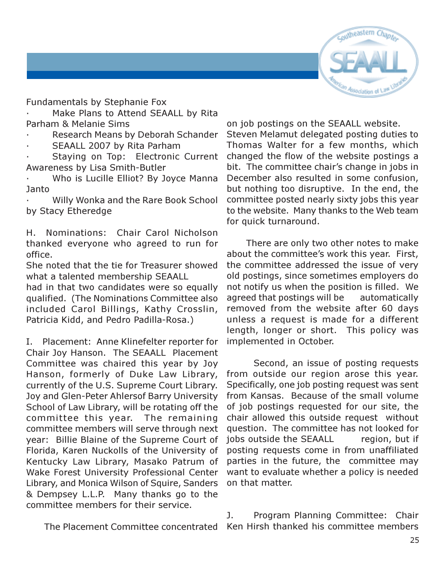

Fundamentals by Stephanie Fox

Make Plans to Attend SEAALL by Rita Parham & Melanie Sims

Research Means by Deborah Schander

SEAALL 2007 by Rita Parham

Staying on Top: Electronic Current Awareness by Lisa Smith-Butler

Who is Lucille Elliot? By Joyce Manna Janto

· Willy Wonka and the Rare Book School by Stacy Etheredge

H. Nominations: Chair Carol Nicholson thanked everyone who agreed to run for office.

She noted that the tie for Treasurer showed what a talented membership SEAALL

had in that two candidates were so equally qualified. (The Nominations Committee also included Carol Billings, Kathy Crosslin, Patricia Kidd, and Pedro Padilla-Rosa.)

I. Placement: Anne Klinefelter reporter for Chair Joy Hanson. The SEAALL Placement Committee was chaired this year by Joy Hanson, formerly of Duke Law Library, currently of the U.S. Supreme Court Library. Joy and Glen-Peter Ahlersof Barry University School of Law Library, will be rotating off the committee this year. The remaining committee members will serve through next year: Billie Blaine of the Supreme Court of Florida, Karen Nuckolls of the University of Kentucky Law Library, Masako Patrum of Wake Forest University Professional Center Library, and Monica Wilson of Squire, Sanders & Dempsey L.L.P. Many thanks go to the committee members for their service.

on job postings on the SEAALL website. Steven Melamut delegated posting duties to Thomas Walter for a few months, which changed the flow of the website postings a bit. The committee chair's change in jobs in December also resulted in some confusion, but nothing too disruptive. In the end, the committee posted nearly sixty jobs this year to the website. Many thanks to the Web team for quick turnaround.

 There are only two other notes to make about the committee's work this year. First, the committee addressed the issue of very old postings, since sometimes employers do not notify us when the position is filled. We agreed that postings will be automatically removed from the website after 60 days unless a request is made for a different length, longer or short. This policy was implemented in October.

 Second, an issue of posting requests from outside our region arose this year. Specifically, one job posting request was sent from Kansas. Because of the small volume of job postings requested for our site, the chair allowed this outside request without question. The committee has not looked for jobs outside the SEAALL region, but if posting requests come in from unaffiliated parties in the future, the committee may want to evaluate whether a policy is needed on that matter.

 The Placement Committee concentrated Ken Hirsh thanked his committee membersJ. Program Planning Committee: Chair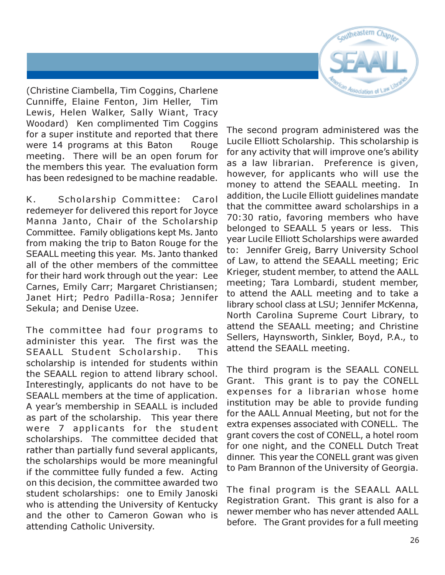

(Christine Ciambella, Tim Coggins, Charlene Cunniffe, Elaine Fenton, Jim Heller, Tim Lewis, Helen Walker, Sally Wiant, Tracy Woodard) Ken complimented Tim Coggins for a super institute and reported that there were 14 programs at this Baton Rouge meeting. There will be an open forum for the members this year. The evaluation form has been redesigned to be machine readable.

K. Scholarship Committee: Carol redemeyer for delivered this report for Joyce Manna Janto, Chair of the Scholarship Committee. Family obligations kept Ms. Janto from making the trip to Baton Rouge for the SEAALL meeting this year. Ms. Janto thanked all of the other members of the committee for their hard work through out the year: Lee Carnes, Emily Carr; Margaret Christiansen; Janet Hirt; Pedro Padilla-Rosa; Jennifer Sekula; and Denise Uzee.

The committee had four programs to administer this year. The first was the SEAALL Student Scholarship. This scholarship is intended for students within the SEAALL region to attend library school. Interestingly, applicants do not have to be SEAALL members at the time of application. A year's membership in SEAALL is included as part of the scholarship. This year there were 7 applicants for the student scholarships. The committee decided that rather than partially fund several applicants, the scholarships would be more meaningful if the committee fully funded a few. Acting on this decision, the committee awarded two student scholarships: one to Emily Janoski who is attending the University of Kentucky and the other to Cameron Gowan who is attending Catholic University.

The second program administered was the Lucile Elliott Scholarship. This scholarship is for any activity that will improve one's ability as a law librarian. Preference is given, however, for applicants who will use the money to attend the SEAALL meeting. In addition, the Lucile Elliott guidelines mandate that the committee award scholarships in a 70:30 ratio, favoring members who have belonged to SEAALL 5 years or less. This year Lucile Elliott Scholarships were awarded to: Jennifer Greig, Barry University School of Law, to attend the SEAALL meeting; Eric Krieger, student member, to attend the AALL meeting; Tara Lombardi, student member, to attend the AALL meeting and to take a library school class at LSU; Jennifer McKenna, North Carolina Supreme Court Library, to attend the SEAALL meeting; and Christine Sellers, Haynsworth, Sinkler, Boyd, P.A., to attend the SEAALL meeting.

The third program is the SEAALL CONELL Grant. This grant is to pay the CONELL expenses for a librarian whose home institution may be able to provide funding for the AALL Annual Meeting, but not for the extra expenses associated with CONELL. The grant covers the cost of CONELL, a hotel room for one night, and the CONELL Dutch Treat dinner. This year the CONELL grant was given to Pam Brannon of the University of Georgia.

The final program is the SEAALL AALL Registration Grant. This grant is also for a newer member who has never attended AALL before. The Grant provides for a full meeting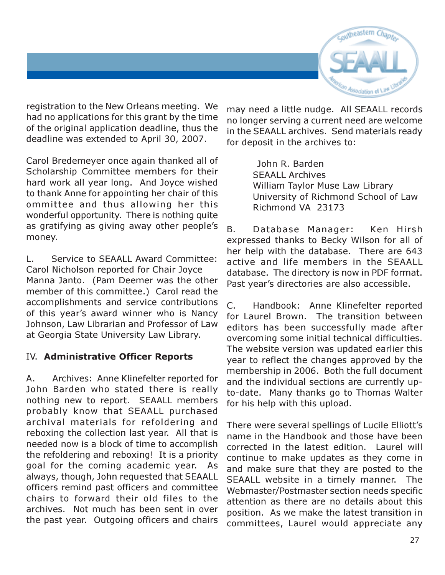

registration to the New Orleans meeting. We had no applications for this grant by the time of the original application deadline, thus the deadline was extended to April 30, 2007.

Carol Bredemeyer once again thanked all of Scholarship Committee members for their hard work all year long. And Joyce wished to thank Anne for appointing her chair of this ommittee and thus allowing her this wonderful opportunity. There is nothing quite as gratifying as giving away other people's money.

L. Service to SEAALL Award Committee: Carol Nicholson reported for Chair Joyce Manna Janto. (Pam Deemer was the other member of this committee.) Carol read the accomplishments and service contributions of this year's award winner who is Nancy Johnson, Law Librarian and Professor of Law at Georgia State University Law Library.

#### IV. Administrative Officer Reports

A. Archives: Anne Klinefelter reported for John Barden who stated there is really nothing new to report. SEAALL members probably know that SEAALL purchased archival materials for refoldering and reboxing the collection last year. All that is needed now is a block of time to accomplish the refoldering and reboxing! It is a priority goal for the coming academic year. As always, though, John requested that SEAALL officers remind past officers and committee chairs to forward their old files to the archives. Not much has been sent in over the past year. Outgoing officers and chairs may need a little nudge. All SEAALL records no longer serving a current need are welcome in the SEAALL archives. Send materials ready for deposit in the archives to:

> John R. Barden SEAALL Archives William Taylor Muse Law Library University of Richmond School of Law Richmond VA 23173

B. Database Manager: Ken Hirsh expressed thanks to Becky Wilson for all of her help with the database. There are 643 active and life members in the SEAALL database. The directory is now in PDF format. Past year's directories are also accessible.

C. Handbook: Anne Klinefelter reported for Laurel Brown. The transition between editors has been successfully made after overcoming some initial technical difficulties. The website version was updated earlier this year to reflect the changes approved by the membership in 2006. Both the full document and the individual sections are currently upto-date. Many thanks go to Thomas Walter for his help with this upload.

There were several spellings of Lucile Elliott's name in the Handbook and those have been corrected in the latest edition. Laurel will continue to make updates as they come in and make sure that they are posted to the SEAALL website in a timely manner. The Webmaster/Postmaster section needs specific attention as there are no details about this position. As we make the latest transition in committees, Laurel would appreciate any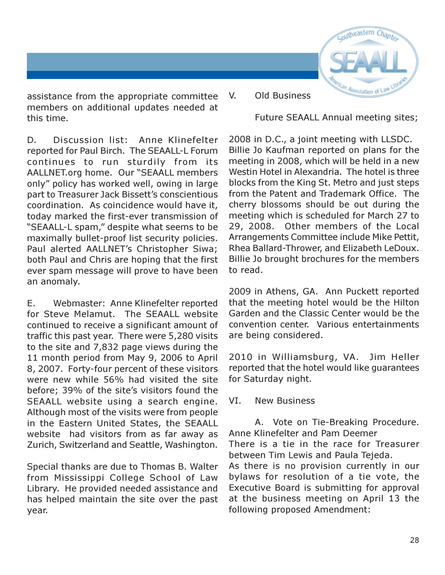

assistance from the appropriate committee members on additional updates needed at this time.

D. Discussion list: Anne Klinefelter reported for Paul Birch. The SEAALL-L Forum continues to run sturdily from its AALLNET.org home. Our "SEAALL members only" policy has worked well, owing in large part to Treasurer Jack Bissett's conscientious coordination. As coincidence would have it, today marked the first-ever transmission of "SEAALL-L spam," despite what seems to be maximally bullet-proof list security policies. Paul alerted AALLNET's Christopher Siwa; both Paul and Chris are hoping that the first ever spam message will prove to have been an anomaly.

E. Webmaster: Anne Klinefelter reported for Steve Melamut. The SEAALL website continued to receive a significant amount of traffic this past year. There were 5,280 visits to the site and 7,832 page views during the 11 month period from May 9, 2006 to April 8, 2007. Forty-four percent of these visitors were new while 56% had visited the site before; 39% of the site's visitors found the SEAALL website using a search engine. Although most of the visits were from people in the Eastern United States, the SEAALL website had visitors from as far away as Zurich, Switzerland and Seattle, Washington.

Special thanks are due to Thomas B. Walter from Mississippi College School of Law Library. He provided needed assistance and has helped maintain the site over the past year.

V. Old Business

Future SEAALL Annual meeting sites;

2008 in D.C., a joint meeting with LLSDC. Billie Jo Kaufman reported on plans for the meeting in 2008, which will be held in a new Westin Hotel in Alexandria. The hotel is three blocks from the King St. Metro and just steps from the Patent and Trademark Office. The cherry blossoms should be out during the meeting which is scheduled for March 27 to 29, 2008. Other members of the Local Arrangements Committee include Mike Pettit, Rhea Ballard-Thrower, and Elizabeth LeDoux. Billie Jo brought brochures for the members to read.

2009 in Athens, GA. Ann Puckett reported that the meeting hotel would be the Hilton Garden and the Classic Center would be the convention center. Various entertainments are being considered.

2010 in Williamsburg, VA. Jim Heller reported that the hotel would like guarantees for Saturday night.

VI. New Business

A. Vote on Tie-Breaking Procedure. Anne Klinefelter and Pam Deemer There is a tie in the race for Treasurer between Tim Lewis and Paula Tejeda. As there is no provision currently in our bylaws for resolution of a tie vote, the Executive Board is submitting for approval at the business meeting on April 13 the following proposed Amendment: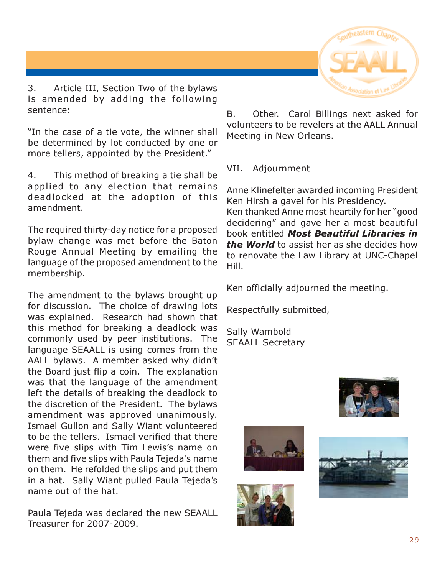

3. Article III, Section Two of the bylaws is amended by adding the following sentence:

"In the case of a tie vote, the winner shall be determined by lot conducted by one or more tellers, appointed by the President."

4. This method of breaking a tie shall be applied to any election that remains deadlocked at the adoption of this amendment.

The required thirty-day notice for a proposed bylaw change was met before the Baton Rouge Annual Meeting by emailing the language of the proposed amendment to the membership.

The amendment to the bylaws brought up for discussion. The choice of drawing lots was explained. Research had shown that this method for breaking a deadlock was commonly used by peer institutions. The language SEAALL is using comes from the AALL bylaws. A member asked why didn't the Board just flip a coin. The explanation was that the language of the amendment left the details of breaking the deadlock to the discretion of the President. The bylaws amendment was approved unanimously. Ismael Gullon and Sally Wiant volunteered to be the tellers. Ismael verified that there were five slips with Tim Lewis's name on them and five slips with Paula Tejeda's name on them. He refolded the slips and put them in a hat. Sally Wiant pulled Paula Tejeda's name out of the hat.

Paula Tejeda was declared the new SEAALL Treasurer for 2007-2009.

B. Other. Carol Billings next asked for volunteers to be revelers at the AALL Annual Meeting in New Orleans.

VII. Adjournment

Anne Klinefelter awarded incoming President Ken Hirsh a gavel for his Presidency. Ken thanked Anne most heartily for her "good decidering" and gave her a most beautiful book entitled Most Beautiful Libraries in the World to assist her as she decides how to renovate the Law Library at UNC-Chapel Hill.

Ken officially adjourned the meeting.

Respectfully submitted,

Sally Wambold SEAALL Secretary







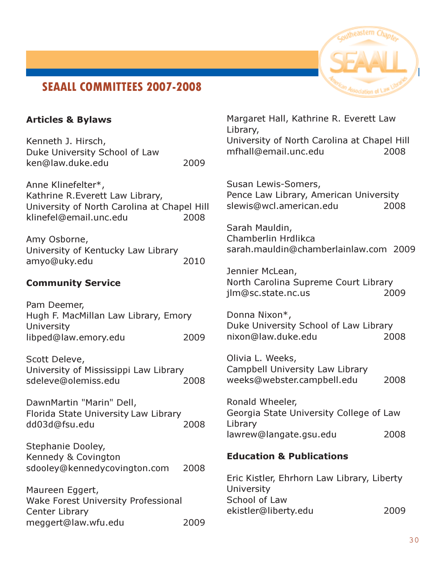# SEAALL COMMITTEES 2007-2008

Articles & Bylaws



# Kenneth J. Hirsch, Duke University School of Law ken@law.duke.edu 2009 Anne Klinefelter\*, Kathrine R.Everett Law Library, University of North Carolina at Chapel Hill klinefel@email.unc.edu 2008 Amy Osborne, University of Kentucky Law Library amyo@uky.edu 2010 Community Service Pam Deemer, Hugh F. MacMillan Law Library, Emory University libped@law.emory.edu 2009 Scott Deleve, University of Mississippi Law Library sdeleve@olemiss.edu 2008 DawnMartin "Marin" Dell, Florida State University Law Library

Stephanie Dooley, Kennedy & Covington sdooley@kennedycovington.com 2008

dd03d@fsu.edu 2008

Maureen Eggert, Wake Forest University Professional Center Library meggert@law.wfu.edu 2009 Margaret Hall, Kathrine R. Everett Law Library, University of North Carolina at Chapel Hill mfhall@email.unc.edu 2008

Susan Lewis-Somers, Pence Law Library, American University slewis@wcl.american.edu 2008

Sarah Mauldin, Chamberlin Hrdlikca sarah.mauldin@chamberlainlaw.com 2009

Jennier McLean, North Carolina Supreme Court Library jlm@sc.state.nc.us 2009

Donna Nixon\*, Duke University School of Law Library nixon@law.duke.edu 2008

Olivia L. Weeks, Campbell University Law Library weeks@webster.campbell.edu 2008

Ronald Wheeler, Georgia State University College of Law Library lawrew@langate.gsu.edu 2008

#### Education & Publications

Eric Kistler, Ehrhorn Law Library, Liberty University School of Law ekistler@liberty.edu 2009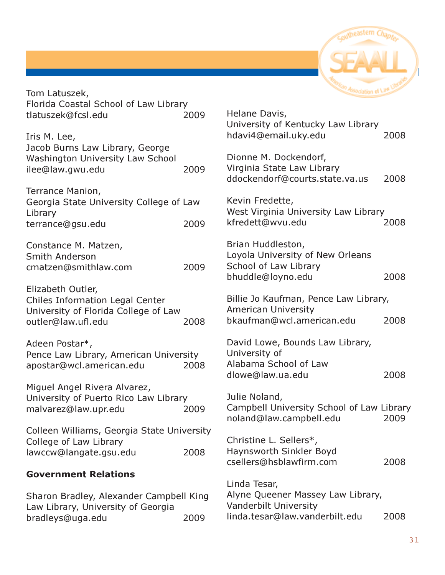

|                                 | 2008                                                                                                                                                                                                                                                                                                                                                                                                                                                                                                                                                                                                                                                                                                                                                          |
|---------------------------------|---------------------------------------------------------------------------------------------------------------------------------------------------------------------------------------------------------------------------------------------------------------------------------------------------------------------------------------------------------------------------------------------------------------------------------------------------------------------------------------------------------------------------------------------------------------------------------------------------------------------------------------------------------------------------------------------------------------------------------------------------------------|
|                                 |                                                                                                                                                                                                                                                                                                                                                                                                                                                                                                                                                                                                                                                                                                                                                               |
|                                 |                                                                                                                                                                                                                                                                                                                                                                                                                                                                                                                                                                                                                                                                                                                                                               |
|                                 |                                                                                                                                                                                                                                                                                                                                                                                                                                                                                                                                                                                                                                                                                                                                                               |
|                                 | 2008                                                                                                                                                                                                                                                                                                                                                                                                                                                                                                                                                                                                                                                                                                                                                          |
|                                 |                                                                                                                                                                                                                                                                                                                                                                                                                                                                                                                                                                                                                                                                                                                                                               |
|                                 |                                                                                                                                                                                                                                                                                                                                                                                                                                                                                                                                                                                                                                                                                                                                                               |
|                                 |                                                                                                                                                                                                                                                                                                                                                                                                                                                                                                                                                                                                                                                                                                                                                               |
|                                 | 2008                                                                                                                                                                                                                                                                                                                                                                                                                                                                                                                                                                                                                                                                                                                                                          |
|                                 |                                                                                                                                                                                                                                                                                                                                                                                                                                                                                                                                                                                                                                                                                                                                                               |
|                                 |                                                                                                                                                                                                                                                                                                                                                                                                                                                                                                                                                                                                                                                                                                                                                               |
|                                 |                                                                                                                                                                                                                                                                                                                                                                                                                                                                                                                                                                                                                                                                                                                                                               |
|                                 | 2008                                                                                                                                                                                                                                                                                                                                                                                                                                                                                                                                                                                                                                                                                                                                                          |
|                                 |                                                                                                                                                                                                                                                                                                                                                                                                                                                                                                                                                                                                                                                                                                                                                               |
|                                 |                                                                                                                                                                                                                                                                                                                                                                                                                                                                                                                                                                                                                                                                                                                                                               |
|                                 |                                                                                                                                                                                                                                                                                                                                                                                                                                                                                                                                                                                                                                                                                                                                                               |
| bkaufman@wcl.american.edu       | 2008                                                                                                                                                                                                                                                                                                                                                                                                                                                                                                                                                                                                                                                                                                                                                          |
|                                 |                                                                                                                                                                                                                                                                                                                                                                                                                                                                                                                                                                                                                                                                                                                                                               |
| David Lowe, Bounds Law Library, |                                                                                                                                                                                                                                                                                                                                                                                                                                                                                                                                                                                                                                                                                                                                                               |
|                                 |                                                                                                                                                                                                                                                                                                                                                                                                                                                                                                                                                                                                                                                                                                                                                               |
|                                 |                                                                                                                                                                                                                                                                                                                                                                                                                                                                                                                                                                                                                                                                                                                                                               |
|                                 | 2008                                                                                                                                                                                                                                                                                                                                                                                                                                                                                                                                                                                                                                                                                                                                                          |
|                                 |                                                                                                                                                                                                                                                                                                                                                                                                                                                                                                                                                                                                                                                                                                                                                               |
|                                 |                                                                                                                                                                                                                                                                                                                                                                                                                                                                                                                                                                                                                                                                                                                                                               |
|                                 |                                                                                                                                                                                                                                                                                                                                                                                                                                                                                                                                                                                                                                                                                                                                                               |
|                                 | 2009                                                                                                                                                                                                                                                                                                                                                                                                                                                                                                                                                                                                                                                                                                                                                          |
|                                 |                                                                                                                                                                                                                                                                                                                                                                                                                                                                                                                                                                                                                                                                                                                                                               |
|                                 |                                                                                                                                                                                                                                                                                                                                                                                                                                                                                                                                                                                                                                                                                                                                                               |
|                                 | 2008                                                                                                                                                                                                                                                                                                                                                                                                                                                                                                                                                                                                                                                                                                                                                          |
|                                 |                                                                                                                                                                                                                                                                                                                                                                                                                                                                                                                                                                                                                                                                                                                                                               |
|                                 |                                                                                                                                                                                                                                                                                                                                                                                                                                                                                                                                                                                                                                                                                                                                                               |
|                                 |                                                                                                                                                                                                                                                                                                                                                                                                                                                                                                                                                                                                                                                                                                                                                               |
|                                 |                                                                                                                                                                                                                                                                                                                                                                                                                                                                                                                                                                                                                                                                                                                                                               |
| linda.tesar@law.vanderbilt.edu  | 2008                                                                                                                                                                                                                                                                                                                                                                                                                                                                                                                                                                                                                                                                                                                                                          |
|                                 | Helane Davis,<br>University of Kentucky Law Library<br>hdavi4@email.uky.edu<br>Dionne M. Dockendorf,<br>Virginia State Law Library<br>ddockendorf@courts.state.va.us<br>Kevin Fredette,<br>West Virginia University Law Library<br>kfredett@wvu.edu<br>Brian Huddleston,<br>Loyola University of New Orleans<br>School of Law Library<br>bhuddle@loyno.edu<br>Billie Jo Kaufman, Pence Law Library,<br><b>American University</b><br>University of<br>Alabama School of Law<br>dlowe@law.ua.edu<br>Julie Noland,<br>Campbell University School of Law Library<br>noland@law.campbell.edu<br>Christine L. Sellers*,<br>Haynsworth Sinkler Boyd<br>csellers@hsblawfirm.com<br>Linda Tesar,<br>Alyne Queener Massey Law Library,<br><b>Vanderbilt University</b> |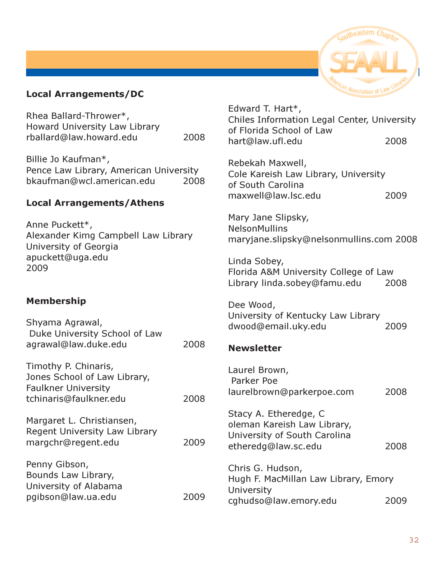#### Local Arrangements/DC

Rhea Ballard-Thrower\*, Howard University Law Library rballard@law.howard.edu 2008

Billie Jo Kaufman\*, Pence Law Library, American University bkaufman@wcl.american.edu 2008

#### Local Arrangements/Athens

Anne Puckett\*, Alexander Kimg Campbell Law Library University of Georgia apuckett@uga.edu 2009

#### Membership

Shyama Agrawal, Duke University School of Law agrawal@law.duke.edu 2008 Timothy P. Chinaris, Jones School of Law Library,

Faulkner University tchinaris@faulkner.edu 2008 Margaret L. Christiansen, Regent University Law Library margchr@regent.edu 2009 Penny Gibson,

Bounds Law Library, University of Alabama pgibson@law.ua.edu 2009



Edward T. Hart\*, Chiles Information Legal Center, University of Florida School of Law hart@law.ufl.edu 2008

Rebekah Maxwell, Cole Kareish Law Library, University of South Carolina maxwell@law.lsc.edu 2009

Mary Jane Slipsky, NelsonMullins maryjane.slipsky@nelsonmullins.com 2008

Linda Sobey, Florida A&M University College of Law Library linda.sobey@famu.edu 2008

Dee Wood, University of Kentucky Law Library dwood@email.uky.edu 2009

#### **Newsletter**

Laurel Brown, Parker Poe laurelbrown@parkerpoe.com 2008

Stacy A. Etheredge, C oleman Kareish Law Library, University of South Carolina etheredg@law.sc.edu 2008

Chris G. Hudson, Hugh F. MacMillan Law Library, Emory **University** cghudso@law.emory.edu 2009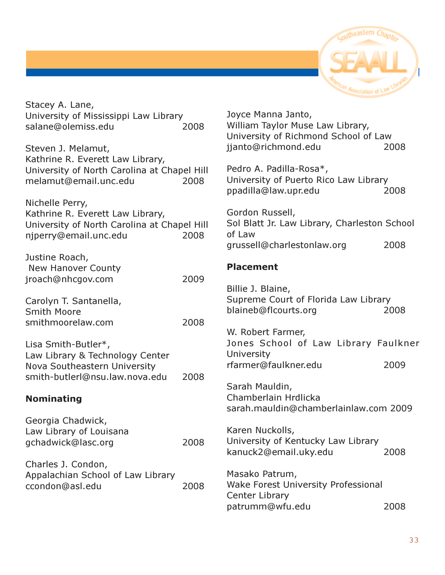

| Stacey A. Lane,<br>University of Mississippi Law Library<br>salane@olemiss.edu<br>Steven J. Melamut,                        | 2008 | Joyce<br>Willia<br>Unive<br>jjanto      |
|-----------------------------------------------------------------------------------------------------------------------------|------|-----------------------------------------|
| Kathrine R. Everett Law Library,<br>University of North Carolina at Chapel Hill<br>melamut@email.unc.edu                    | 2008 | Pedro<br>Unive<br>ppadi                 |
| Nichelle Perry,<br>Kathrine R. Everett Law Library,<br>University of North Carolina at Chapel Hill<br>njperry@email.unc.edu | 2008 | Gordo<br>Sol B<br>of Lay<br>gruss       |
| Justine Roach,<br><b>New Hanover County</b><br>jroach@nhcgov.com                                                            | 2009 | Place                                   |
| Carolyn T. Santanella,<br><b>Smith Moore</b><br>smithmoorelaw.com                                                           | 2008 | <b>Billie</b><br><b>Supre</b><br>blaine |
| Lisa Smith-Butler*,<br>Law Library & Technology Center<br>Nova Southeastern University                                      |      | W. Ro<br>Jone:<br>Unive<br>rfarm        |
| smith-butlerl@nsu.law.nova.edu<br><b>Nominating</b>                                                                         | 2008 | Sarah<br>Cham<br>sarah                  |
| Georgia Chadwick,<br>Law Library of Louisana<br>gchadwick@lasc.org                                                          | 2008 | Karer<br>Unive<br>kanu                  |
| Charles J. Condon,<br>Appalachian School of Law Library<br>ccondon@asl.edu                                                  | 2008 | Masal<br>Wake<br>Cente<br>patru         |

| Joyce Manna Janto,<br>William Taylor Muse Law Library,<br>University of Richmond School of Law<br>jjanto@richmond.edu | 2008 |
|-----------------------------------------------------------------------------------------------------------------------|------|
| Pedro A. Padilla-Rosa*,<br>University of Puerto Rico Law Library<br>ppadilla@law.upr.edu                              | 2008 |
| Gordon Russell,<br>Sol Blatt Jr. Law Library, Charleston School<br>of Law<br>grussell@charlestonlaw.org               | 2008 |
| <b>Placement</b>                                                                                                      |      |
| Billie J. Blaine,<br>Supreme Court of Florida Law Library<br>blaineb@flcourts.org                                     | 2008 |
| W. Robert Farmer,<br>Jones School of Law Library Faulkner<br><b>University</b>                                        |      |
| rfarmer@faulkner.edu                                                                                                  | 2009 |
|                                                                                                                       |      |

h Mauldin, nberlain Hrdlicka sarah.mauldin@chamberlainlaw.com 2009

n Nuckolls, ersity of Kentucky Law Library ck2@email.uky.edu 2008

ko Patrum, Forest University Professional er Library patrumm@wfu.edu 2008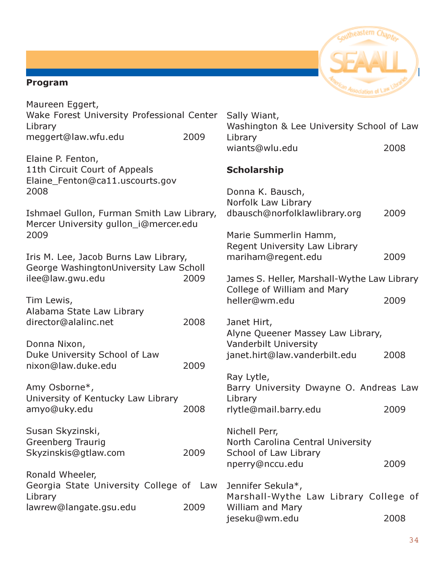#### Program



| Maureen Eggert,                                                                               |      |                                                                                |      |  |
|-----------------------------------------------------------------------------------------------|------|--------------------------------------------------------------------------------|------|--|
| Wake Forest University Professional Center<br>Library                                         |      | Sally Wiant,<br>Washington & Lee University School of Law                      |      |  |
| meggert@law.wfu.edu                                                                           | 2009 | Library<br>wiants@wlu.edu                                                      | 2008 |  |
| Elaine P. Fenton,<br>11th Circuit Court of Appeals<br>Elaine_Fenton@ca11.uscourts.gov<br>2008 |      | <b>Scholarship</b><br>Donna K. Bausch,                                         |      |  |
| Ishmael Gullon, Furman Smith Law Library,<br>Mercer University gullon_i@mercer.edu            |      | Norfolk Law Library<br>dbausch@norfolklawlibrary.org                           | 2009 |  |
| 2009                                                                                          |      | Marie Summerlin Hamm,<br>Regent University Law Library                         |      |  |
| Iris M. Lee, Jacob Burns Law Library,<br>George WashingtonUniversity Law Scholl               |      | mariham@regent.edu                                                             | 2009 |  |
| ilee@law.gwu.edu                                                                              | 2009 | James S. Heller, Marshall-Wythe Law Library<br>College of William and Mary     |      |  |
| Tim Lewis,                                                                                    |      | heller@wm.edu                                                                  | 2009 |  |
| Alabama State Law Library<br>director@alalinc.net                                             | 2008 | Janet Hirt,<br>Alyne Queener Massey Law Library,                               |      |  |
| Donna Nixon,<br>Duke University School of Law<br>nixon@law.duke.edu                           | 2009 | Vanderbilt University<br>janet.hirt@law.vanderbilt.edu                         | 2008 |  |
| Amy Osborne*,                                                                                 |      | Ray Lytle,<br>Barry University Dwayne O. Andreas Law                           |      |  |
| University of Kentucky Law Library<br>amyo@uky.edu                                            | 2008 | Library<br>rlytle@mail.barry.edu                                               | 2009 |  |
| Susan Skyzinski,<br><b>Greenberg Traurig</b><br>Skyzinskis@gtlaw.com                          | 2009 | Nichell Perr,<br>North Carolina Central University<br>School of Law Library    |      |  |
| Ronald Wheeler,                                                                               |      | nperry@nccu.edu                                                                | 2009 |  |
| Georgia State University College of Law<br>Library<br>lawrew@langate.gsu.edu                  | 2009 | Jennifer Sekula*,<br>Marshall-Wythe Law Library College of<br>William and Mary |      |  |
|                                                                                               |      | jeseku@wm.edu                                                                  | 2008 |  |